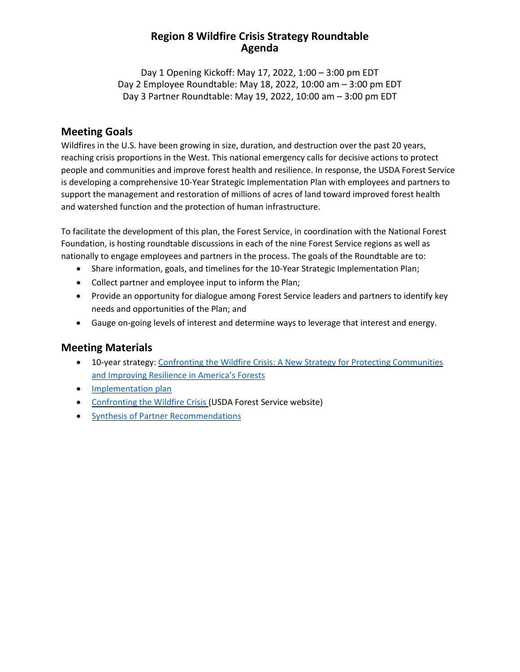### **Region 8 Wildfire Crisis Strategy Roundtable Agenda**

Day 1 Opening Kickoff: May 17, 2022, 1:00 – 3:00 pm EDT Day 2 Employee Roundtable: May 18, 2022, 10:00 am – 3:00 pm EDT Day 3 Partner Roundtable: May 19, 2022, 10:00 am – 3:00 pm EDT

### **Meeting Goals**

Wildfires in the U.S. have been growing in size, duration, and destruction over the past 20 years, reaching crisis proportions in the West. This national emergency calls for decisive actions to protect people and communities and improve forest health and resilience. In response, the USDA Forest Service is developing a comprehensive 10-Year Strategic Implementation Plan with employees and partners to support the management and restoration of millions of acres of land toward improved forest health and watershed function and the protection of human infrastructure.

To facilitate the development of this plan, the Forest Service, in coordination with the National Forest Foundation, is hosting roundtable discussions in each of the nine Forest Service regions as well as nationally to engage employees and partners in the process. The goals of the Roundtable are to:

- Share information, goals, and timelines for the 10-Year Strategic Implementation Plan;
- Collect partner and employee input to inform the Plan;
- Provide an opportunity for dialogue among Forest Service leaders and partners to identify key needs and opportunities of the Plan; and
- Gauge on-going levels of interest and determine ways to leverage that interest and energy.

#### **Meeting Materials**

- 10-year strategy: Confronting the Wildfire Crisis: A New Strategy for Protecting [Communities](https://www.fs.usda.gov/sites/default/files/Confronting-Wildfire-Crisis.pdf) and [Improving](https://www.fs.usda.gov/sites/default/files/Confronting-Wildfire-Crisis.pdf) Resilience in America's Forests
- [Implementation](https://www.fs.usda.gov/sites/default/files/Wildfire-Crisis-Implementation-Plan.pdf) plan
- [Confronting](https://www.fs.usda.gov/managing-land/wildfire-crisis) the Wildfire Crisis (USDA Forest Service website)
- Synthesis of Partner [Recommendations](https://www.nationalforests.org/assets/blog/Wildfire-Risk-Reduction-Partner-Recommendation-Analysis.pdf)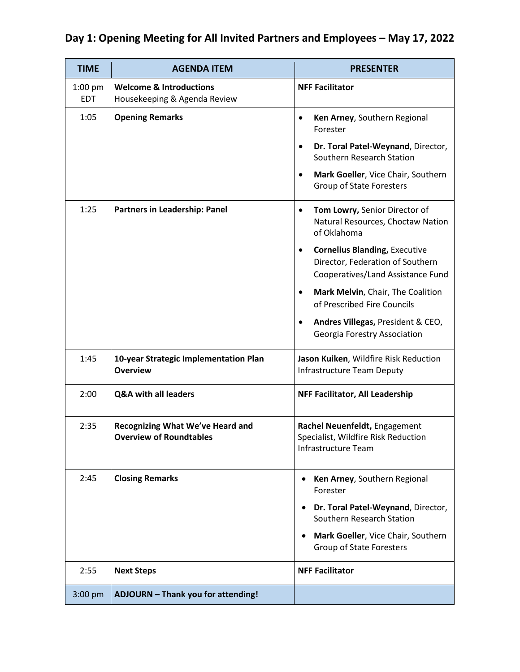| <b>TIME</b>             | <b>AGENDA ITEM</b>                                                 | <b>PRESENTER</b>                                                                                                           |
|-------------------------|--------------------------------------------------------------------|----------------------------------------------------------------------------------------------------------------------------|
| $1:00$ pm<br><b>EDT</b> | <b>Welcome &amp; Introductions</b><br>Housekeeping & Agenda Review | <b>NFF Facilitator</b>                                                                                                     |
| 1:05                    | <b>Opening Remarks</b>                                             | Ken Arney, Southern Regional<br>$\bullet$<br>Forester                                                                      |
|                         |                                                                    | Dr. Toral Patel-Weynand, Director,<br>$\bullet$<br>Southern Research Station                                               |
|                         |                                                                    | Mark Goeller, Vice Chair, Southern<br>$\bullet$<br><b>Group of State Foresters</b>                                         |
| 1:25                    | Partners in Leadership: Panel                                      | Tom Lowry, Senior Director of<br>$\bullet$<br>Natural Resources, Choctaw Nation<br>of Oklahoma                             |
|                         |                                                                    | <b>Cornelius Blanding, Executive</b><br>$\bullet$<br>Director, Federation of Southern<br>Cooperatives/Land Assistance Fund |
|                         |                                                                    | Mark Melvin, Chair, The Coalition<br>$\bullet$<br>of Prescribed Fire Councils                                              |
|                         |                                                                    | Andres Villegas, President & CEO,<br>Georgia Forestry Association                                                          |
| 1:45                    | 10-year Strategic Implementation Plan<br><b>Overview</b>           | Jason Kuiken, Wildfire Risk Reduction<br><b>Infrastructure Team Deputy</b>                                                 |
| 2:00                    | Q&A with all leaders                                               | NFF Facilitator, All Leadership                                                                                            |
| 2:35                    | Recognizing What We've Heard and<br><b>Overview of Roundtables</b> | Rachel Neuenfeldt, Engagement<br>Specialist, Wildfire Risk Reduction<br>Infrastructure Team                                |
| 2:45                    | <b>Closing Remarks</b>                                             | Ken Arney, Southern Regional<br>Forester                                                                                   |
|                         |                                                                    | Dr. Toral Patel-Weynand, Director,<br>Southern Research Station                                                            |
|                         |                                                                    | Mark Goeller, Vice Chair, Southern<br><b>Group of State Foresters</b>                                                      |
| 2:55                    | <b>Next Steps</b>                                                  | <b>NFF Facilitator</b>                                                                                                     |
| $3:00$ pm               | ADJOURN - Thank you for attending!                                 |                                                                                                                            |

# **Day 1: Opening Meeting for All Invited Partners and Employees – May 17, 2022**